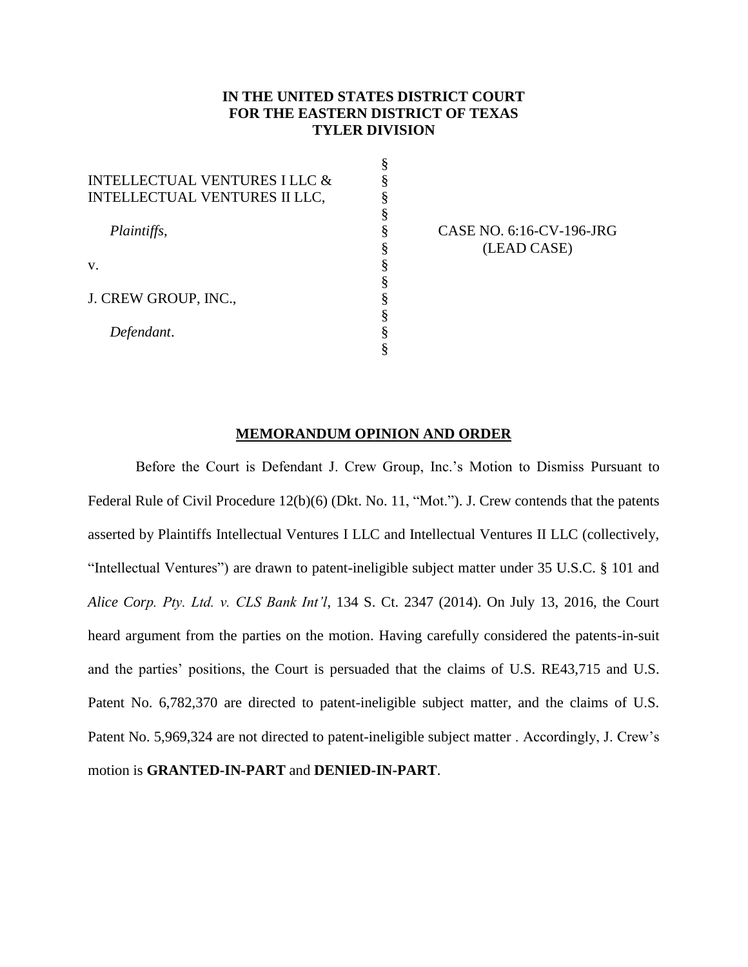# **IN THE UNITED STATES DISTRICT COURT FOR THE EASTERN DISTRICT OF TEXAS TYLER DIVISION**

|                                          | ş |
|------------------------------------------|---|
| <b>INTELLECTUAL VENTURES I LLC &amp;</b> | § |
| <b>INTELLECTUAL VENTURES II LLC,</b>     | § |
|                                          | ş |
| Plaintiffs,                              | § |
|                                          | § |
| V.                                       | § |
|                                          | § |
| J. CREW GROUP, INC.,                     | § |
|                                          | ş |
| Defendant.                               | § |
|                                          | 8 |

CASE NO. 6:16-CV-196-JRG (LEAD CASE)

## **MEMORANDUM OPINION AND ORDER**

Before the Court is Defendant J. Crew Group, Inc.'s Motion to Dismiss Pursuant to Federal Rule of Civil Procedure 12(b)(6) (Dkt. No. 11, "Mot."). J. Crew contends that the patents asserted by Plaintiffs Intellectual Ventures I LLC and Intellectual Ventures II LLC (collectively, "Intellectual Ventures") are drawn to patent-ineligible subject matter under 35 U.S.C. § 101 and *Alice Corp. Pty. Ltd. v. CLS Bank Int'l*, 134 S. Ct. 2347 (2014). On July 13, 2016, the Court heard argument from the parties on the motion. Having carefully considered the patents-in-suit and the parties' positions, the Court is persuaded that the claims of U.S. RE43,715 and U.S. Patent No. 6,782,370 are directed to patent-ineligible subject matter, and the claims of U.S. Patent No. 5,969,324 are not directed to patent-ineligible subject matter . Accordingly, J. Crew's motion is **GRANTED-IN-PART** and **DENIED-IN-PART**.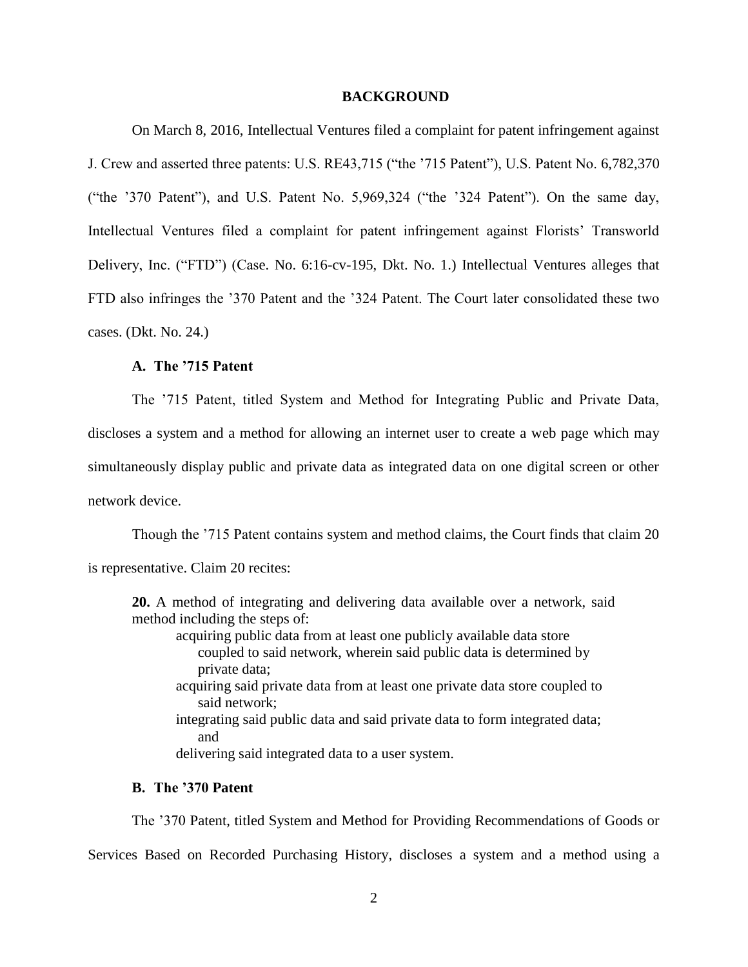#### **BACKGROUND**

On March 8, 2016, Intellectual Ventures filed a complaint for patent infringement against J. Crew and asserted three patents: U.S. RE43,715 ("the '715 Patent"), U.S. Patent No. 6,782,370 ("the '370 Patent"), and U.S. Patent No. 5,969,324 ("the '324 Patent"). On the same day, Intellectual Ventures filed a complaint for patent infringement against Florists' Transworld Delivery, Inc. ("FTD") (Case. No. 6:16-cv-195, Dkt. No. 1.) Intellectual Ventures alleges that FTD also infringes the '370 Patent and the '324 Patent. The Court later consolidated these two cases. (Dkt. No. 24.)

## **A. The '715 Patent**

The '715 Patent, titled System and Method for Integrating Public and Private Data, discloses a system and a method for allowing an internet user to create a web page which may simultaneously display public and private data as integrated data on one digital screen or other network device.

Though the '715 Patent contains system and method claims, the Court finds that claim 20 is representative. Claim 20 recites:

**20.** A method of integrating and delivering data available over a network, said method including the steps of:

acquiring public data from at least one publicly available data store coupled to said network, wherein said public data is determined by private data;

- acquiring said private data from at least one private data store coupled to said network;
- integrating said public data and said private data to form integrated data; and
- delivering said integrated data to a user system.

### **B. The '370 Patent**

The '370 Patent, titled System and Method for Providing Recommendations of Goods or Services Based on Recorded Purchasing History, discloses a system and a method using a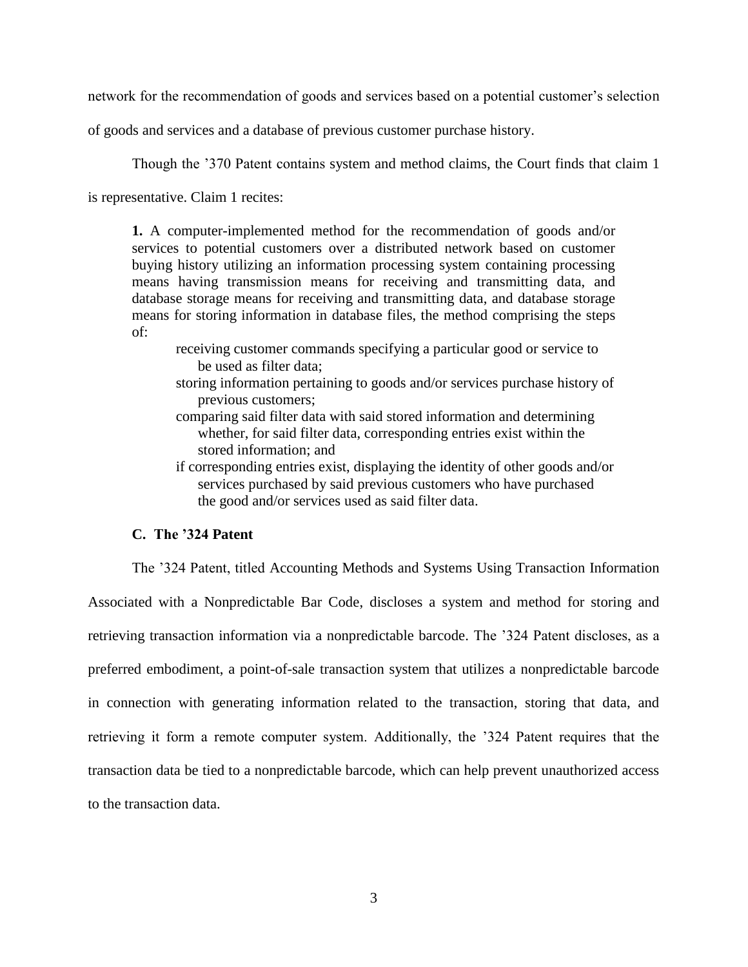network for the recommendation of goods and services based on a potential customer's selection

of goods and services and a database of previous customer purchase history.

Though the '370 Patent contains system and method claims, the Court finds that claim 1

is representative. Claim 1 recites:

**1.** A computer-implemented method for the recommendation of goods and/or services to potential customers over a distributed network based on customer buying history utilizing an information processing system containing processing means having transmission means for receiving and transmitting data, and database storage means for receiving and transmitting data, and database storage means for storing information in database files, the method comprising the steps of:

- receiving customer commands specifying a particular good or service to be used as filter data;
- storing information pertaining to goods and/or services purchase history of previous customers;
- comparing said filter data with said stored information and determining whether, for said filter data, corresponding entries exist within the stored information; and
- if corresponding entries exist, displaying the identity of other goods and/or services purchased by said previous customers who have purchased the good and/or services used as said filter data.

### **C. The '324 Patent**

The '324 Patent, titled Accounting Methods and Systems Using Transaction Information Associated with a Nonpredictable Bar Code, discloses a system and method for storing and retrieving transaction information via a nonpredictable barcode. The '324 Patent discloses, as a preferred embodiment, a point-of-sale transaction system that utilizes a nonpredictable barcode in connection with generating information related to the transaction, storing that data, and retrieving it form a remote computer system. Additionally, the '324 Patent requires that the transaction data be tied to a nonpredictable barcode, which can help prevent unauthorized access to the transaction data.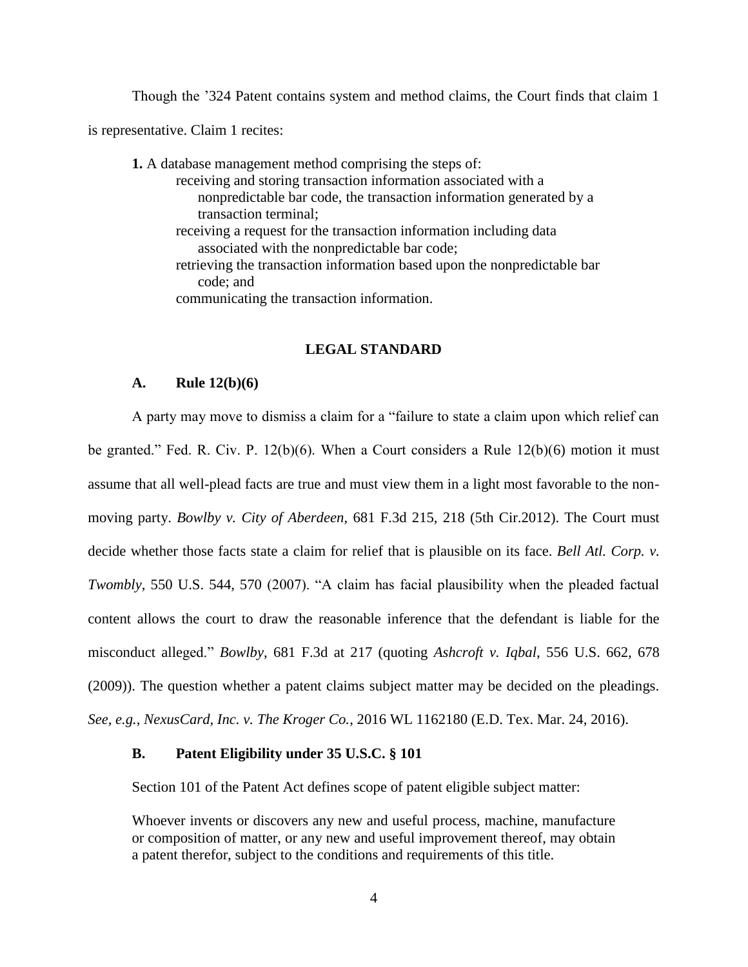Though the '324 Patent contains system and method claims, the Court finds that claim 1

is representative. Claim 1 recites:

**1.** A database management method comprising the steps of: receiving and storing transaction information associated with a nonpredictable bar code, the transaction information generated by a transaction terminal; receiving a request for the transaction information including data associated with the nonpredictable bar code; retrieving the transaction information based upon the nonpredictable bar code; and communicating the transaction information.

## **LEGAL STANDARD**

### **A. Rule 12(b)(6)**

A party may move to dismiss a claim for a "failure to state a claim upon which relief can be granted." Fed. R. Civ. P.  $12(b)(6)$ . When a Court considers a Rule  $12(b)(6)$  motion it must assume that all well-plead facts are true and must view them in a light most favorable to the nonmoving party. *Bowlby v. City of Aberdeen*, 681 F.3d 215, 218 (5th Cir.2012). The Court must decide whether those facts state a claim for relief that is plausible on its face. *Bell Atl. Corp. v. Twombly*, 550 U.S. 544, 570 (2007). "A claim has facial plausibility when the pleaded factual content allows the court to draw the reasonable inference that the defendant is liable for the misconduct alleged." *Bowlby*, 681 F.3d at 217 (quoting *Ashcroft v. Iqbal*, 556 U.S. 662, 678 (2009)). The question whether a patent claims subject matter may be decided on the pleadings. *See, e.g.*, *NexusCard, Inc. v. The Kroger Co.*, 2016 WL 1162180 (E.D. Tex. Mar. 24, 2016).

## **B. Patent Eligibility under 35 U.S.C. § 101**

Section 101 of the Patent Act defines scope of patent eligible subject matter:

Whoever invents or discovers any new and useful process, machine, manufacture or composition of matter, or any new and useful improvement thereof, may obtain a patent therefor, subject to the conditions and requirements of this title.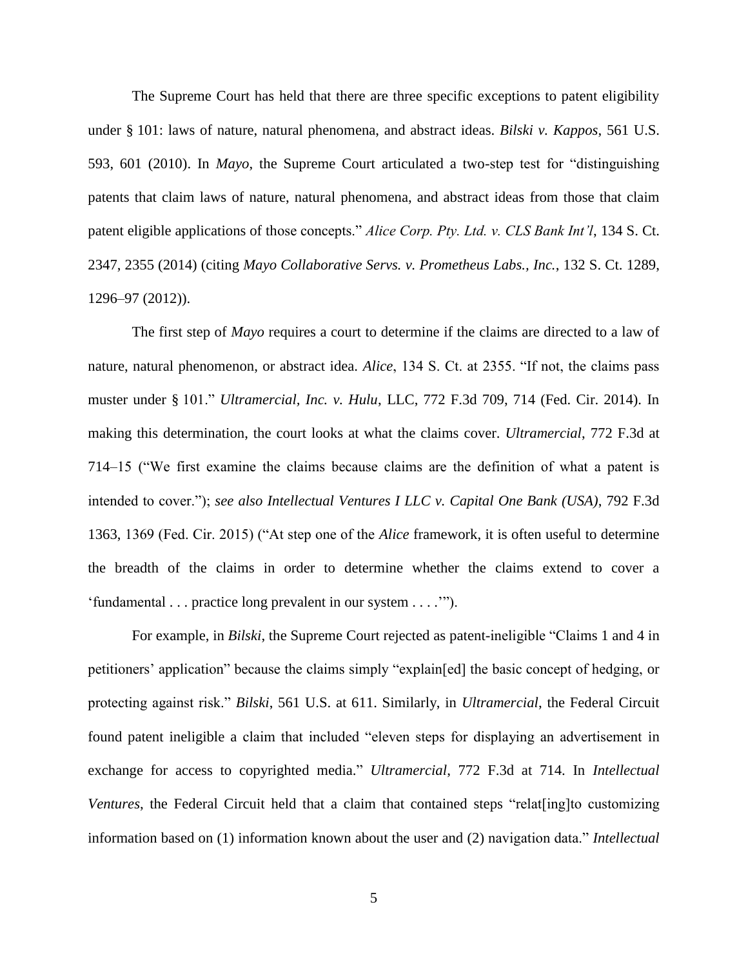The Supreme Court has held that there are three specific exceptions to patent eligibility under § 101: laws of nature, natural phenomena, and abstract ideas. *Bilski v. Kappos*, 561 U.S. 593, 601 (2010). In *Mayo*, the Supreme Court articulated a two-step test for "distinguishing patents that claim laws of nature, natural phenomena, and abstract ideas from those that claim patent eligible applications of those concepts." *Alice Corp. Pty. Ltd. v. CLS Bank Int'l*, 134 S. Ct. 2347, 2355 (2014) (citing *Mayo Collaborative Servs. v. Prometheus Labs., Inc.*, 132 S. Ct. 1289, 1296–97 (2012)).

The first step of *Mayo* requires a court to determine if the claims are directed to a law of nature, natural phenomenon, or abstract idea. *Alice*, 134 S. Ct. at 2355. "If not, the claims pass muster under § 101." *Ultramercial, Inc. v. Hulu*, LLC, 772 F.3d 709, 714 (Fed. Cir. 2014). In making this determination, the court looks at what the claims cover. *Ultramercial*, 772 F.3d at 714–15 ("We first examine the claims because claims are the definition of what a patent is intended to cover."); *see also Intellectual Ventures I LLC v. Capital One Bank (USA)*, 792 F.3d 1363, 1369 (Fed. Cir. 2015) ("At step one of the *Alice* framework, it is often useful to determine the breadth of the claims in order to determine whether the claims extend to cover a 'fundamental . . . practice long prevalent in our system . . . .'").

For example, in *Bilski*, the Supreme Court rejected as patent-ineligible "Claims 1 and 4 in petitioners' application" because the claims simply "explain[ed] the basic concept of hedging, or protecting against risk." *Bilski*, 561 U.S. at 611. Similarly, in *Ultramercial*, the Federal Circuit found patent ineligible a claim that included "eleven steps for displaying an advertisement in exchange for access to copyrighted media." *Ultramercial*, 772 F.3d at 714. In *Intellectual Ventures*, the Federal Circuit held that a claim that contained steps "relat [ing]to customizing information based on (1) information known about the user and (2) navigation data." *Intellectual*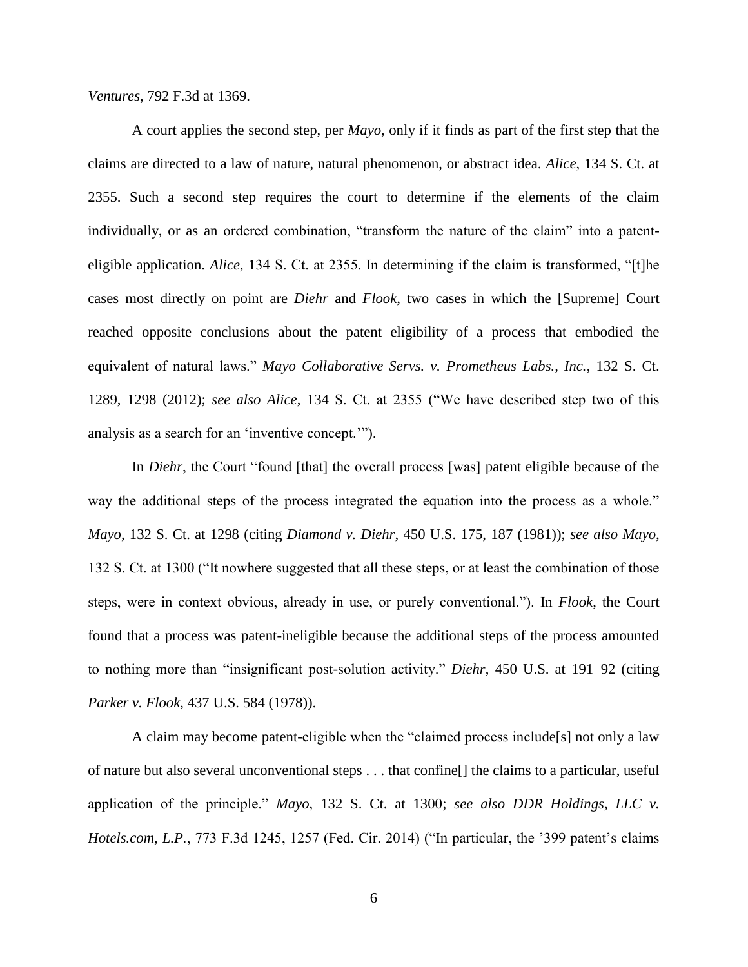*Ventures*, 792 F.3d at 1369.

A court applies the second step, per *Mayo*, only if it finds as part of the first step that the claims are directed to a law of nature, natural phenomenon, or abstract idea. *Alice*, 134 S. Ct. at 2355. Such a second step requires the court to determine if the elements of the claim individually, or as an ordered combination, "transform the nature of the claim" into a patenteligible application. *Alice*, 134 S. Ct. at 2355. In determining if the claim is transformed, "[t]he cases most directly on point are *Diehr* and *Flook*, two cases in which the [Supreme] Court reached opposite conclusions about the patent eligibility of a process that embodied the equivalent of natural laws." *Mayo Collaborative Servs. v. Prometheus Labs., Inc.*, 132 S. Ct. 1289, 1298 (2012); *see also Alice*, 134 S. Ct. at 2355 ("We have described step two of this analysis as a search for an 'inventive concept.'").

In *Diehr*, the Court "found [that] the overall process [was] patent eligible because of the way the additional steps of the process integrated the equation into the process as a whole." *Mayo*, 132 S. Ct. at 1298 (citing *Diamond v. Diehr*, 450 U.S. 175, 187 (1981)); *see also Mayo*, 132 S. Ct. at 1300 ("It nowhere suggested that all these steps, or at least the combination of those steps, were in context obvious, already in use, or purely conventional."). In *Flook*, the Court found that a process was patent-ineligible because the additional steps of the process amounted to nothing more than "insignificant post-solution activity." *Diehr*, 450 U.S. at 191–92 (citing *Parker v. Flook*, 437 U.S. 584 (1978)).

A claim may become patent-eligible when the "claimed process include[s] not only a law of nature but also several unconventional steps . . . that confine[] the claims to a particular, useful application of the principle." *Mayo*, 132 S. Ct. at 1300; *see also DDR Holdings, LLC v. Hotels.com, L.P.*, 773 F.3d 1245, 1257 (Fed. Cir. 2014) ("In particular, the '399 patent's claims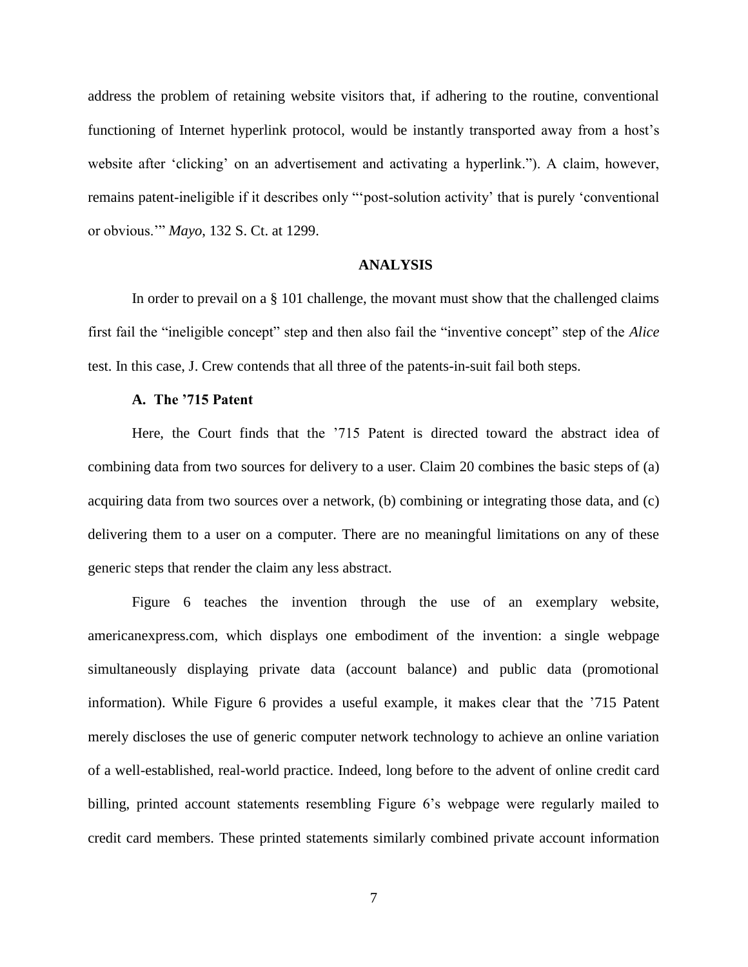address the problem of retaining website visitors that, if adhering to the routine, conventional functioning of Internet hyperlink protocol, would be instantly transported away from a host's website after 'clicking' on an advertisement and activating a hyperlink."). A claim, however, remains patent-ineligible if it describes only "'post-solution activity' that is purely 'conventional or obvious.'" *Mayo*, 132 S. Ct. at 1299.

### **ANALYSIS**

In order to prevail on a § 101 challenge, the movant must show that the challenged claims first fail the "ineligible concept" step and then also fail the "inventive concept" step of the *Alice* test. In this case, J. Crew contends that all three of the patents-in-suit fail both steps.

#### **A. The '715 Patent**

Here, the Court finds that the '715 Patent is directed toward the abstract idea of combining data from two sources for delivery to a user. Claim 20 combines the basic steps of (a) acquiring data from two sources over a network, (b) combining or integrating those data, and (c) delivering them to a user on a computer. There are no meaningful limitations on any of these generic steps that render the claim any less abstract.

Figure 6 teaches the invention through the use of an exemplary website, americanexpress.com, which displays one embodiment of the invention: a single webpage simultaneously displaying private data (account balance) and public data (promotional information). While Figure 6 provides a useful example, it makes clear that the '715 Patent merely discloses the use of generic computer network technology to achieve an online variation of a well-established, real-world practice. Indeed, long before to the advent of online credit card billing, printed account statements resembling Figure 6's webpage were regularly mailed to credit card members. These printed statements similarly combined private account information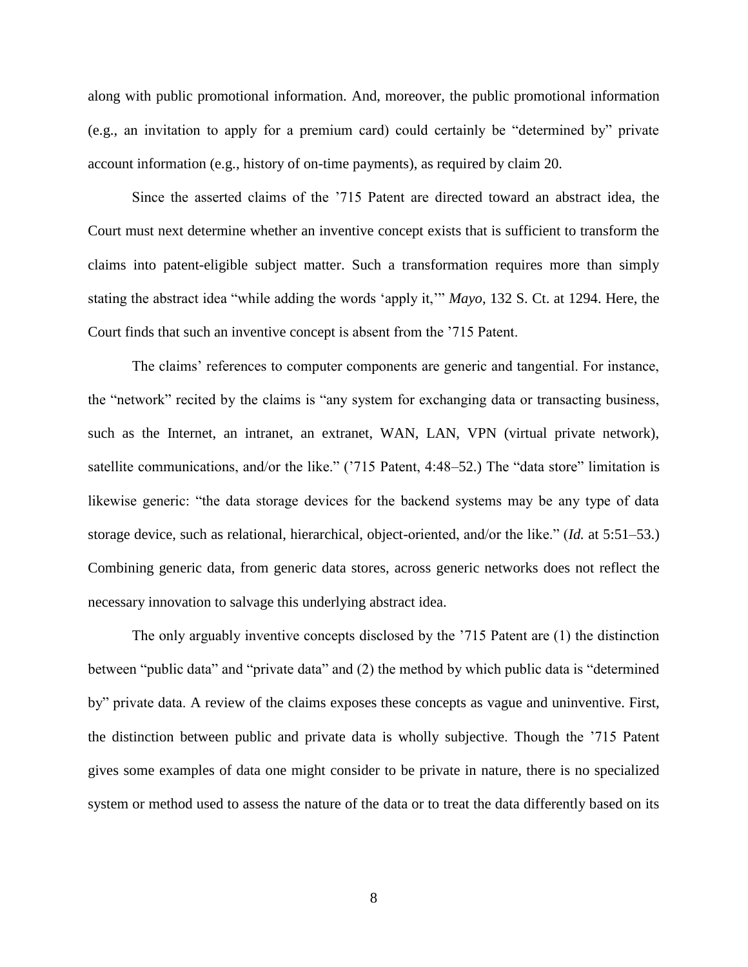along with public promotional information. And, moreover, the public promotional information (e.g., an invitation to apply for a premium card) could certainly be "determined by" private account information (e.g., history of on-time payments), as required by claim 20.

Since the asserted claims of the '715 Patent are directed toward an abstract idea, the Court must next determine whether an inventive concept exists that is sufficient to transform the claims into patent-eligible subject matter. Such a transformation requires more than simply stating the abstract idea "while adding the words 'apply it,'" *Mayo*, 132 S. Ct. at 1294. Here, the Court finds that such an inventive concept is absent from the '715 Patent.

The claims' references to computer components are generic and tangential. For instance, the "network" recited by the claims is "any system for exchanging data or transacting business, such as the Internet, an intranet, an extranet, WAN, LAN, VPN (virtual private network), satellite communications, and/or the like." ('715 Patent, 4:48–52.) The "data store" limitation is likewise generic: "the data storage devices for the backend systems may be any type of data storage device, such as relational, hierarchical, object-oriented, and/or the like." (*Id.* at 5:51–53.) Combining generic data, from generic data stores, across generic networks does not reflect the necessary innovation to salvage this underlying abstract idea.

The only arguably inventive concepts disclosed by the '715 Patent are (1) the distinction between "public data" and "private data" and (2) the method by which public data is "determined by" private data. A review of the claims exposes these concepts as vague and uninventive. First, the distinction between public and private data is wholly subjective. Though the '715 Patent gives some examples of data one might consider to be private in nature, there is no specialized system or method used to assess the nature of the data or to treat the data differently based on its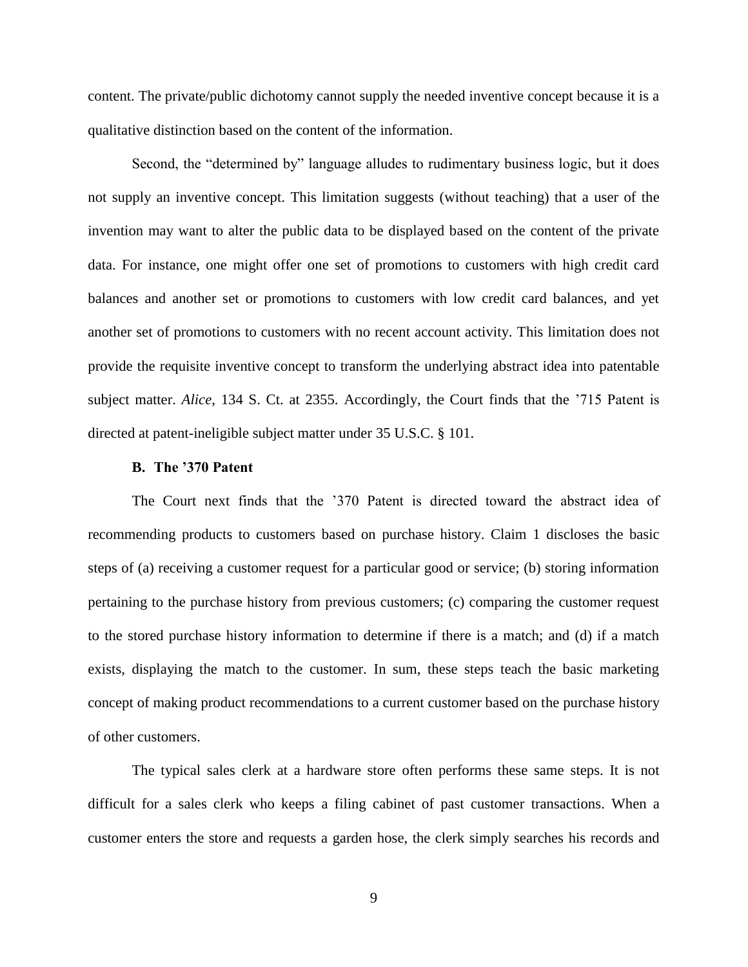content. The private/public dichotomy cannot supply the needed inventive concept because it is a qualitative distinction based on the content of the information.

Second, the "determined by" language alludes to rudimentary business logic, but it does not supply an inventive concept. This limitation suggests (without teaching) that a user of the invention may want to alter the public data to be displayed based on the content of the private data. For instance, one might offer one set of promotions to customers with high credit card balances and another set or promotions to customers with low credit card balances, and yet another set of promotions to customers with no recent account activity. This limitation does not provide the requisite inventive concept to transform the underlying abstract idea into patentable subject matter. *Alice*, 134 S. Ct. at 2355. Accordingly, the Court finds that the '715 Patent is directed at patent-ineligible subject matter under 35 U.S.C. § 101.

#### **B. The '370 Patent**

The Court next finds that the '370 Patent is directed toward the abstract idea of recommending products to customers based on purchase history. Claim 1 discloses the basic steps of (a) receiving a customer request for a particular good or service; (b) storing information pertaining to the purchase history from previous customers; (c) comparing the customer request to the stored purchase history information to determine if there is a match; and (d) if a match exists, displaying the match to the customer. In sum, these steps teach the basic marketing concept of making product recommendations to a current customer based on the purchase history of other customers.

The typical sales clerk at a hardware store often performs these same steps. It is not difficult for a sales clerk who keeps a filing cabinet of past customer transactions. When a customer enters the store and requests a garden hose, the clerk simply searches his records and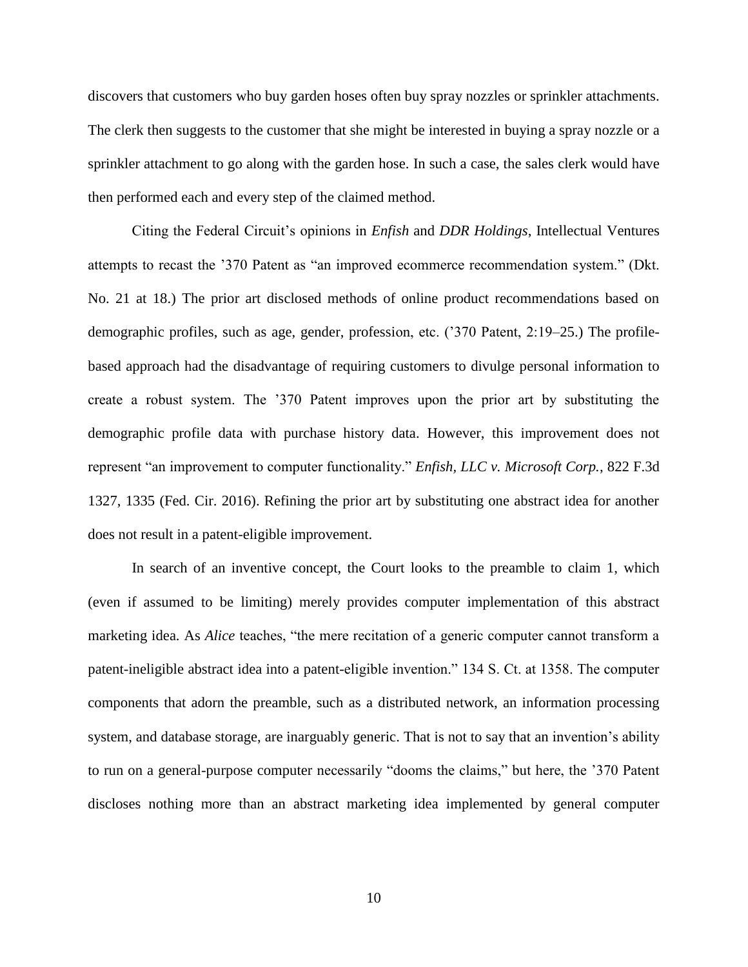discovers that customers who buy garden hoses often buy spray nozzles or sprinkler attachments. The clerk then suggests to the customer that she might be interested in buying a spray nozzle or a sprinkler attachment to go along with the garden hose. In such a case, the sales clerk would have then performed each and every step of the claimed method.

Citing the Federal Circuit's opinions in *Enfish* and *DDR Holdings*, Intellectual Ventures attempts to recast the '370 Patent as "an improved ecommerce recommendation system." (Dkt. No. 21 at 18.) The prior art disclosed methods of online product recommendations based on demographic profiles, such as age, gender, profession, etc. ('370 Patent, 2:19–25.) The profilebased approach had the disadvantage of requiring customers to divulge personal information to create a robust system. The '370 Patent improves upon the prior art by substituting the demographic profile data with purchase history data. However, this improvement does not represent "an improvement to computer functionality." *Enfish, LLC v. Microsoft Corp.*, 822 F.3d 1327, 1335 (Fed. Cir. 2016). Refining the prior art by substituting one abstract idea for another does not result in a patent-eligible improvement.

In search of an inventive concept, the Court looks to the preamble to claim 1, which (even if assumed to be limiting) merely provides computer implementation of this abstract marketing idea. As *Alice* teaches, "the mere recitation of a generic computer cannot transform a patent-ineligible abstract idea into a patent-eligible invention." 134 S. Ct. at 1358. The computer components that adorn the preamble, such as a distributed network, an information processing system, and database storage, are inarguably generic. That is not to say that an invention's ability to run on a general-purpose computer necessarily "dooms the claims," but here, the '370 Patent discloses nothing more than an abstract marketing idea implemented by general computer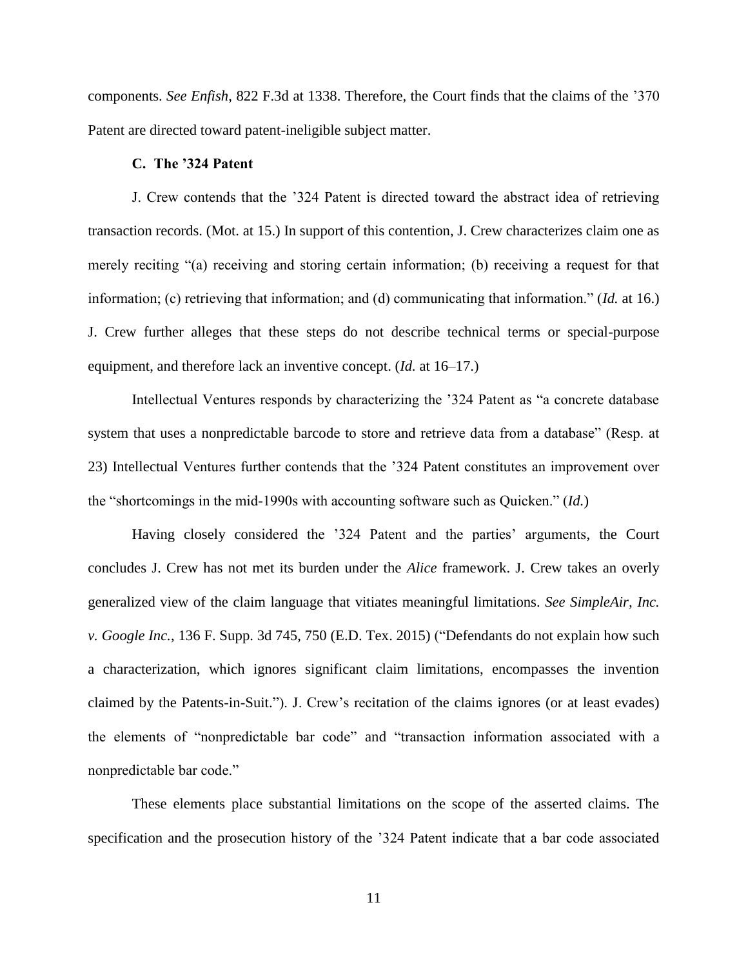components. *See Enfish*, 822 F.3d at 1338. Therefore, the Court finds that the claims of the '370 Patent are directed toward patent-ineligible subject matter.

#### **C. The '324 Patent**

J. Crew contends that the '324 Patent is directed toward the abstract idea of retrieving transaction records. (Mot. at 15.) In support of this contention, J. Crew characterizes claim one as merely reciting "(a) receiving and storing certain information; (b) receiving a request for that information; (c) retrieving that information; and (d) communicating that information." (*Id.* at 16.) J. Crew further alleges that these steps do not describe technical terms or special-purpose equipment, and therefore lack an inventive concept. (*Id.* at 16–17.)

Intellectual Ventures responds by characterizing the '324 Patent as "a concrete database system that uses a nonpredictable barcode to store and retrieve data from a database" (Resp. at 23) Intellectual Ventures further contends that the '324 Patent constitutes an improvement over the "shortcomings in the mid-1990s with accounting software such as Quicken." (*Id.*)

Having closely considered the '324 Patent and the parties' arguments, the Court concludes J. Crew has not met its burden under the *Alice* framework. J. Crew takes an overly generalized view of the claim language that vitiates meaningful limitations. *See SimpleAir, Inc. v. Google Inc.*, 136 F. Supp. 3d 745, 750 (E.D. Tex. 2015) ("Defendants do not explain how such a characterization, which ignores significant claim limitations, encompasses the invention claimed by the Patents-in-Suit."). J. Crew's recitation of the claims ignores (or at least evades) the elements of "nonpredictable bar code" and "transaction information associated with a nonpredictable bar code."

These elements place substantial limitations on the scope of the asserted claims. The specification and the prosecution history of the '324 Patent indicate that a bar code associated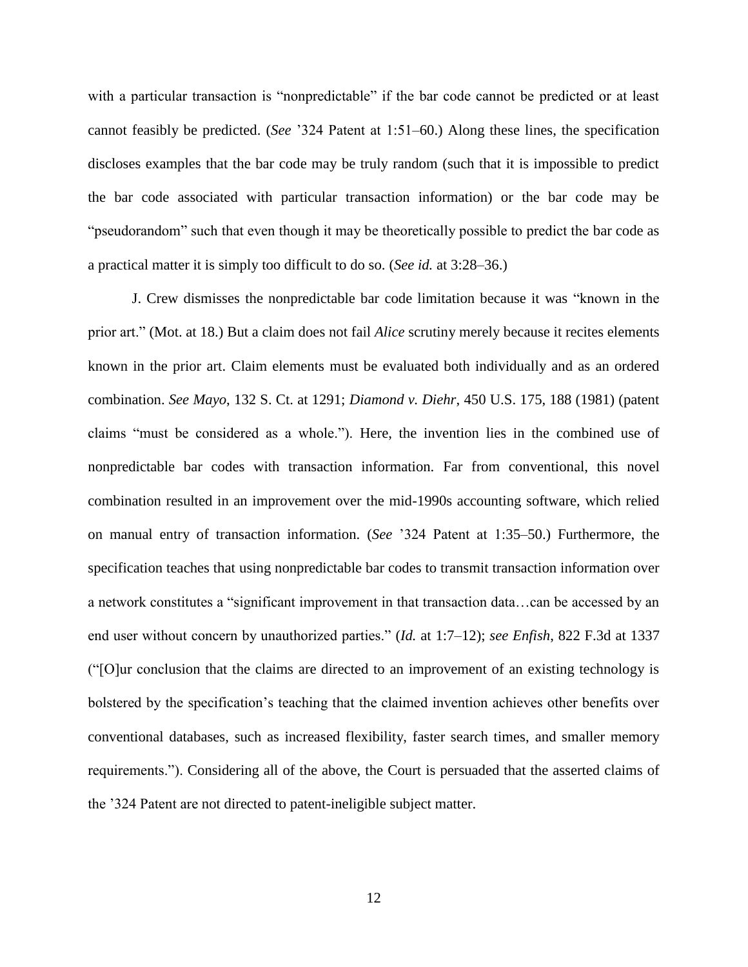with a particular transaction is "nonpredictable" if the bar code cannot be predicted or at least cannot feasibly be predicted. (*See* '324 Patent at 1:51–60.) Along these lines, the specification discloses examples that the bar code may be truly random (such that it is impossible to predict the bar code associated with particular transaction information) or the bar code may be "pseudorandom" such that even though it may be theoretically possible to predict the bar code as a practical matter it is simply too difficult to do so. (*See id.* at 3:28–36.)

J. Crew dismisses the nonpredictable bar code limitation because it was "known in the prior art." (Mot. at 18.) But a claim does not fail *Alice* scrutiny merely because it recites elements known in the prior art. Claim elements must be evaluated both individually and as an ordered combination. *See Mayo*, 132 S. Ct. at 1291; *Diamond v. Diehr*, 450 U.S. 175, 188 (1981) (patent claims "must be considered as a whole."). Here, the invention lies in the combined use of nonpredictable bar codes with transaction information. Far from conventional, this novel combination resulted in an improvement over the mid-1990s accounting software, which relied on manual entry of transaction information. (*See* '324 Patent at 1:35–50.) Furthermore, the specification teaches that using nonpredictable bar codes to transmit transaction information over a network constitutes a "significant improvement in that transaction data…can be accessed by an end user without concern by unauthorized parties." (*Id.* at 1:7–12); *see Enfish*, 822 F.3d at 1337 ("[O]ur conclusion that the claims are directed to an improvement of an existing technology is bolstered by the specification's teaching that the claimed invention achieves other benefits over conventional databases, such as increased flexibility, faster search times, and smaller memory requirements."). Considering all of the above, the Court is persuaded that the asserted claims of the '324 Patent are not directed to patent-ineligible subject matter.